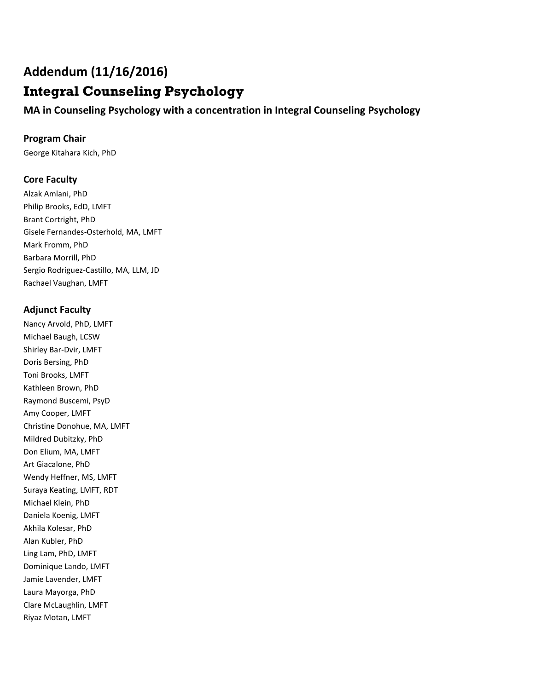# **Addendum (11/16/2016)**

# **Integral Counseling Psychology**

**MA in Counseling Psychology with a concentration in Integral Counseling Psychology**

## **Program Chair**

George Kitahara Kich, PhD

## **Core Faculty**

Alzak Amlani, PhD Philip Brooks, EdD, LMFT Brant Cortright, PhD Gisele Fernandes-Osterhold, MA, LMFT Mark Fromm, PhD Barbara Morrill, PhD Sergio Rodriguez-Castillo, MA, LLM, JD Rachael Vaughan, LMFT

## **Adjunct Faculty**

Nancy Arvold, PhD, LMFT Michael Baugh, LCSW Shirley Bar-Dvir, LMFT Doris Bersing, PhD Toni Brooks, LMFT Kathleen Brown, PhD Raymond Buscemi, PsyD Amy Cooper, LMFT Christine Donohue, MA, LMFT Mildred Dubitzky, PhD Don Elium, MA, LMFT Art Giacalone, PhD Wendy Heffner, MS, LMFT Suraya Keating, LMFT, RDT Michael Klein, PhD Daniela Koenig, LMFT Akhila Kolesar, PhD Alan Kubler, PhD Ling Lam, PhD, LMFT Dominique Lando, LMFT Jamie Lavender, LMFT Laura Mayorga, PhD Clare McLaughlin, LMFT Riyaz Motan, LMFT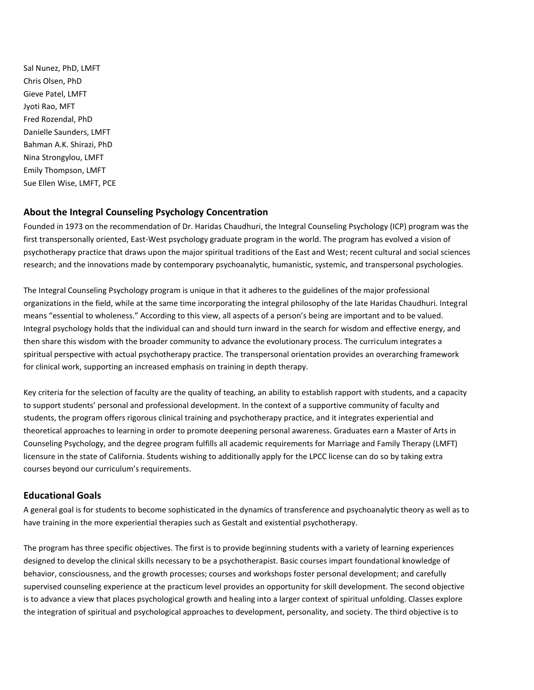Sal Nunez, PhD, LMFT Chris Olsen, PhD Gieve Patel, LMFT Jyoti Rao, MFT Fred Rozendal, PhD Danielle Saunders, LMFT Bahman A.K. Shirazi, PhD Nina Strongylou, LMFT Emily Thompson, LMFT Sue Ellen Wise, LMFT, PCE

## **About the Integral Counseling Psychology Concentration**

Founded in 1973 on the recommendation of Dr. Haridas Chaudhuri, the Integral Counseling Psychology (ICP) program was the first transpersonally oriented, East-West psychology graduate program in the world. The program has evolved a vision of psychotherapy practice that draws upon the major spiritual traditions of the East and West; recent cultural and social sciences research; and the innovations made by contemporary psychoanalytic, humanistic, systemic, and transpersonal psychologies.

The Integral Counseling Psychology program is unique in that it adheres to the guidelines of the major professional organizations in the field, while at the same time incorporating the integral philosophy of the late Haridas Chaudhuri. Integral means "essential to wholeness." According to this view, all aspects of a person's being are important and to be valued. Integral psychology holds that the individual can and should turn inward in the search for wisdom and effective energy, and then share this wisdom with the broader community to advance the evolutionary process. The curriculum integrates a spiritual perspective with actual psychotherapy practice. The transpersonal orientation provides an overarching framework for clinical work, supporting an increased emphasis on training in depth therapy.

Key criteria for the selection of faculty are the quality of teaching, an ability to establish rapport with students, and a capacity to support students' personal and professional development. In the context of a supportive community of faculty and students, the program offers rigorous clinical training and psychotherapy practice, and it integrates experiential and theoretical approaches to learning in order to promote deepening personal awareness. Graduates earn a Master of Arts in Counseling Psychology, and the degree program fulfills all academic requirements for Marriage and Family Therapy (LMFT) licensure in the state of California. Students wishing to additionally apply for the LPCC license can do so by taking extra courses beyond our curriculum's requirements.

## **Educational Goals**

A general goal is for students to become sophisticated in the dynamics of transference and psychoanalytic theory as well as to have training in the more experiential therapies such as Gestalt and existential psychotherapy.

The program has three specific objectives. The first is to provide beginning students with a variety of learning experiences designed to develop the clinical skills necessary to be a psychotherapist. Basic courses impart foundational knowledge of behavior, consciousness, and the growth processes; courses and workshops foster personal development; and carefully supervised counseling experience at the practicum level provides an opportunity for skill development. The second objective is to advance a view that places psychological growth and healing into a larger context of spiritual unfolding. Classes explore the integration of spiritual and psychological approaches to development, personality, and society. The third objective is to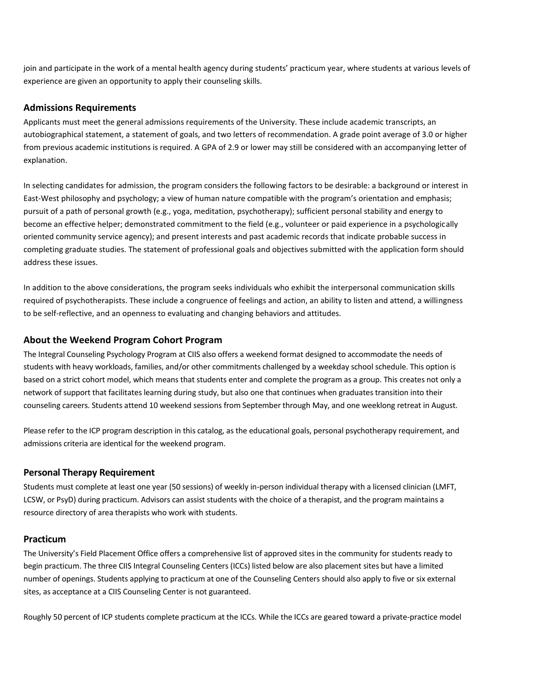join and participate in the work of a mental health agency during students' practicum year, where students at various levels of experience are given an opportunity to apply their counseling skills.

## **Admissions Requirements**

Applicants must meet the general admissions requirements of the University. These include academic transcripts, an autobiographical statement, a statement of goals, and two letters of recommendation. A grade point average of 3.0 or higher from previous academic institutions is required. A GPA of 2.9 or lower may still be considered with an accompanying letter of explanation.

In selecting candidates for admission, the program considers the following factors to be desirable: a background or interest in East-West philosophy and psychology; a view of human nature compatible with the program's orientation and emphasis; pursuit of a path of personal growth (e.g., yoga, meditation, psychotherapy); sufficient personal stability and energy to become an effective helper; demonstrated commitment to the field (e.g., volunteer or paid experience in a psychologically oriented community service agency); and present interests and past academic records that indicate probable success in completing graduate studies. The statement of professional goals and objectives submitted with the application form should address these issues.

In addition to the above considerations, the program seeks individuals who exhibit the interpersonal communication skills required of psychotherapists. These include a congruence of feelings and action, an ability to listen and attend, a willingness to be self-reflective, and an openness to evaluating and changing behaviors and attitudes.

### **About the Weekend Program Cohort Program**

The Integral Counseling Psychology Program at CIIS also offers a weekend format designed to accommodate the needs of students with heavy workloads, families, and/or other commitments challenged by a weekday school schedule. This option is based on a strict cohort model, which means that students enter and complete the program as a group. This creates not only a network of support that facilitates learning during study, but also one that continues when graduates transition into their counseling careers. Students attend 10 weekend sessions from September through May, and one weeklong retreat in August.

Please refer to the ICP program description in this catalog, as the educational goals, personal psychotherapy requirement, and admissions criteria are identical for the weekend program.

## **Personal Therapy Requirement**

Students must complete at least one year (50 sessions) of weekly in-person individual therapy with a licensed clinician (LMFT, LCSW, or PsyD) during practicum. Advisors can assist students with the choice of a therapist, and the program maintains a resource directory of area therapists who work with students.

#### **Practicum**

The University's Field Placement Office offers a comprehensive list of approved sites in the community for students ready to begin practicum. The three CIIS Integral Counseling Centers (ICCs) listed below are also placement sites but have a limited number of openings. Students applying to practicum at one of the Counseling Centers should also apply to five or six external sites, as acceptance at a CIIS Counseling Center is not guaranteed.

Roughly 50 percent of ICP students complete practicum at the ICCs. While the ICCs are geared toward a private-practice model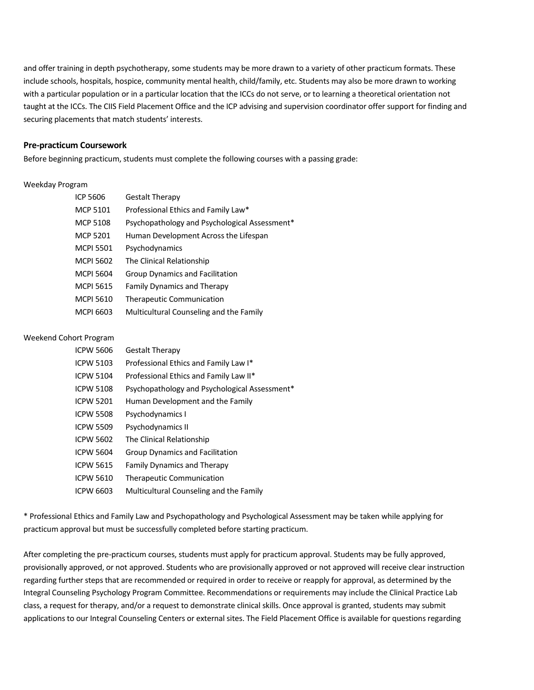and offer training in depth psychotherapy, some students may be more drawn to a variety of other practicum formats. These include schools, hospitals, hospice, community mental health, child/family, etc. Students may also be more drawn to working with a particular population or in a particular location that the ICCs do not serve, or to learning a theoretical orientation not taught at the ICCs. The CIIS Field Placement Office and the ICP advising and supervision coordinator offer support for finding and securing placements that match students' interests.

#### **Pre-practicum Coursework**

Before beginning practicum, students must complete the following courses with a passing grade:

#### Weekday Program

| ICP 5606         | <b>Gestalt Therapy</b>                        |
|------------------|-----------------------------------------------|
| <b>MCP 5101</b>  | Professional Ethics and Family Law*           |
| <b>MCP 5108</b>  | Psychopathology and Psychological Assessment* |
| <b>MCP 5201</b>  | Human Development Across the Lifespan         |
| <b>MCPI 5501</b> | Psychodynamics                                |
| <b>MCPI 5602</b> | The Clinical Relationship                     |
| <b>MCPI 5604</b> | Group Dynamics and Facilitation               |
| <b>MCPI 5615</b> | <b>Family Dynamics and Therapy</b>            |
| <b>MCPI 5610</b> | <b>Therapeutic Communication</b>              |
| MCPI 6603        | Multicultural Counseling and the Family       |

#### Weekend Cohort Program

| <b>ICPW 5606</b> | <b>Gestalt Therapy</b>                        |
|------------------|-----------------------------------------------|
| <b>ICPW 5103</b> | Professional Ethics and Family Law I*         |
| <b>ICPW 5104</b> | Professional Ethics and Family Law II*        |
| <b>ICPW 5108</b> | Psychopathology and Psychological Assessment* |
| <b>ICPW 5201</b> | Human Development and the Family              |
| <b>ICPW 5508</b> | Psychodynamics I                              |
| <b>ICPW 5509</b> | Psychodynamics II                             |
| <b>ICPW 5602</b> | The Clinical Relationship                     |
| <b>ICPW 5604</b> | <b>Group Dynamics and Facilitation</b>        |
| <b>ICPW 5615</b> | <b>Family Dynamics and Therapy</b>            |
| <b>ICPW 5610</b> | <b>Therapeutic Communication</b>              |
| ICPW 6603        | Multicultural Counseling and the Family       |

\* Professional Ethics and Family Law and Psychopathology and Psychological Assessment may be taken while applying for practicum approval but must be successfully completed before starting practicum.

After completing the pre-practicum courses, students must apply for practicum approval. Students may be fully approved, provisionally approved, or not approved. Students who are provisionally approved or not approved will receive clear instruction regarding further steps that are recommended or required in order to receive or reapply for approval, as determined by the Integral Counseling Psychology Program Committee. Recommendations or requirements may include the Clinical Practice Lab class, a request for therapy, and/or a request to demonstrate clinical skills. Once approval is granted, students may submit applications to our Integral Counseling Centers or external sites. The Field Placement Office is available for questions regarding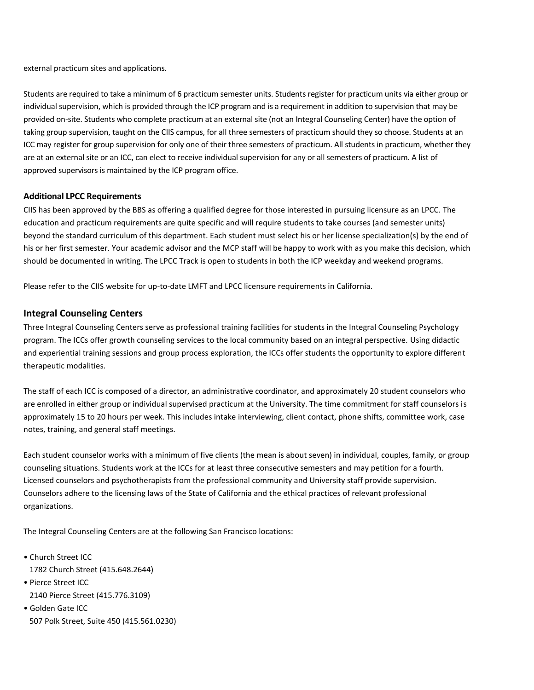external practicum sites and applications.

Students are required to take a minimum of 6 practicum semester units. Students register for practicum units via either group or individual supervision, which is provided through the ICP program and is a requirement in addition to supervision that may be provided on-site. Students who complete practicum at an external site (not an Integral Counseling Center) have the option of taking group supervision, taught on the CIIS campus, for all three semesters of practicum should they so choose. Students at an ICC may register for group supervision for only one of their three semesters of practicum. All students in practicum, whether they are at an external site or an ICC, can elect to receive individual supervision for any or all semesters of practicum. A list of approved supervisors is maintained by the ICP program office.

### **Additional LPCC Requirements**

CIIS has been approved by the BBS as offering a qualified degree for those interested in pursuing licensure as an LPCC. The education and practicum requirements are quite specific and will require students to take courses (and semester units) beyond the standard curriculum of this department. Each student must select his or her license specialization(s) by the end of his or her first semester. Your academic advisor and the MCP staff will be happy to work with as you make this decision, which should be documented in writing. The LPCC Track is open to students in both the ICP weekday and weekend programs.

Please refer to the CIIS website for up-to-date LMFT and LPCC licensure requirements in California.

## **Integral Counseling Centers**

Three Integral Counseling Centers serve as professional training facilities for students in the Integral Counseling Psychology program. The ICCs offer growth counseling services to the local community based on an integral perspective. Using didactic and experiential training sessions and group process exploration, the ICCs offer students the opportunity to explore different therapeutic modalities.

The staff of each ICC is composed of a director, an administrative coordinator, and approximately 20 student counselors who are enrolled in either group or individual supervised practicum at the University. The time commitment for staff counselors is approximately 15 to 20 hours per week. This includes intake interviewing, client contact, phone shifts, committee work, case notes, training, and general staff meetings.

Each student counselor works with a minimum of five clients (the mean is about seven) in individual, couples, family, or group counseling situations. Students work at the ICCs for at least three consecutive semesters and may petition for a fourth. Licensed counselors and psychotherapists from the professional community and University staff provide supervision. Counselors adhere to the licensing laws of the State of California and the ethical practices of relevant professional organizations.

The Integral Counseling Centers are at the following San Francisco locations:

- Church Street ICC 1782 Church Street (415.648.2644)
- Pierce Street ICC 2140 Pierce Street (415.776.3109)
- Golden Gate ICC 507 Polk Street, Suite 450 (415.561.0230)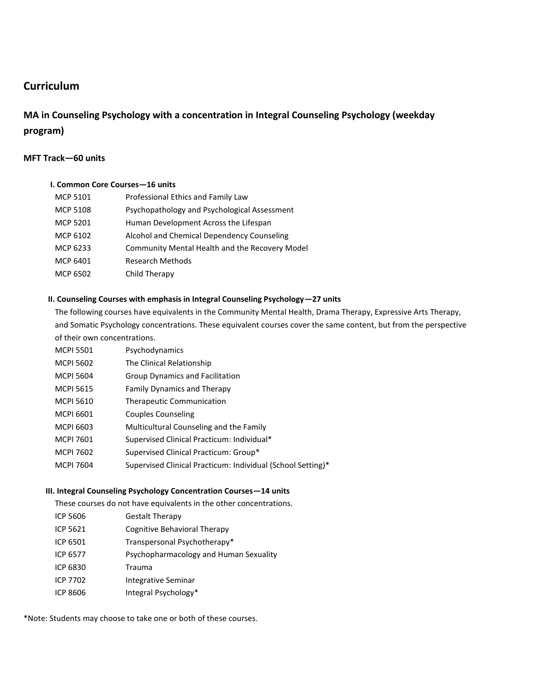## **Curriculum**

## **MA in Counseling Psychology with a concentration in Integral Counseling Psychology (weekday program)**

## **MFT Track—60 units**

### **I. Common Core Courses—16 units**

| <b>MCP 5101</b> | Professional Ethics and Family Law                    |
|-----------------|-------------------------------------------------------|
| <b>MCP 5108</b> | Psychopathology and Psychological Assessment          |
| <b>MCP 5201</b> | Human Development Across the Lifespan                 |
| MCP 6102        | Alcohol and Chemical Dependency Counseling            |
| MCP 6233        | <b>Community Mental Health and the Recovery Model</b> |
| MCP 6401        | <b>Research Methods</b>                               |
| MCP 6502        | Child Therapy                                         |

## **II. Counseling Courses with emphasis in Integral Counseling Psychology—27 units**

The following courses have equivalents in the Community Mental Health, Drama Therapy, Expressive Arts Therapy, and Somatic Psychology concentrations. These equivalent courses cover the same content, but from the perspective of their own concentrations.

- MCPI 5501 Psychodynamics
- MCPI 5602 The Clinical Relationship
- MCPI 5604 Group Dynamics and Facilitation
- MCPI 5615 Family Dynamics and Therapy
- MCPI 5610 Therapeutic Communication
- MCPI 6601 Couples Counseling
- MCPI 6603 Multicultural Counseling and the Family
- MCPI 7601 Supervised Clinical Practicum: Individual\*
- MCPI 7602 Supervised Clinical Practicum: Group\*
- MCPI 7604 Supervised Clinical Practicum: Individual (School Setting)\*

#### **III. Integral Counseling Psychology Concentration Courses—14 units**

These courses do not have equivalents in the other concentrations.

- ICP 5606 Gestalt Therapy
- ICP 5621 Cognitive Behavioral Therapy
- ICP 6501 Transpersonal Psychotherapy\*
- ICP 6577 Psychopharmacology and Human Sexuality
- ICP 6830 Trauma
- ICP 7702 Integrative Seminar
- ICP 8606 Integral Psychology\*

\*Note: Students may choose to take one or both of these courses.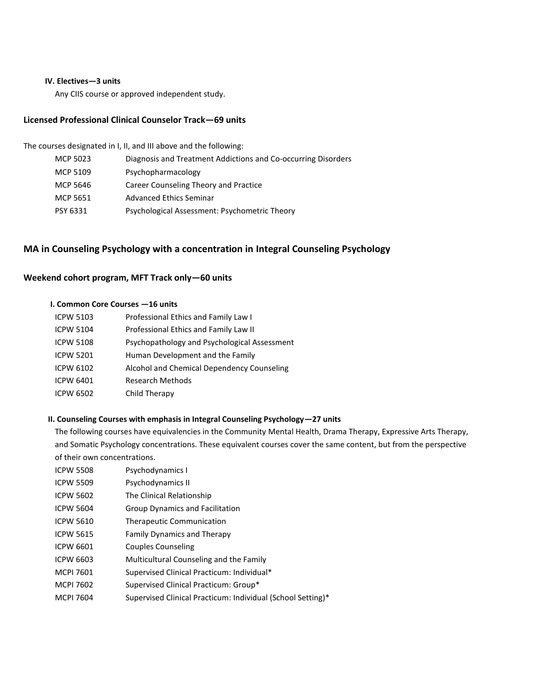#### **IV. Electives—3 units**

Any CIIS course or approved independent study.

## **Licensed Professional Clinical Counselor Track—69 units**

The courses designated in I, II, and III above and the following:

| MCP 5023 | Diagnosis and Treatment Addictions and Co-occurring Disorders |
|----------|---------------------------------------------------------------|
| MCP 5109 | Psychopharmacology                                            |
| MCP 5646 | Career Counseling Theory and Practice                         |
| MCP 5651 | Advanced Ethics Seminar                                       |
| PSY 6331 | Psychological Assessment: Psychometric Theory                 |
|          |                                                               |

## **MA in Counseling Psychology with a concentration in Integral Counseling Psychology**

## **Weekend cohort program, MFT Track only—60 units**

## **I. Common Core Courses —16 units**

| <b>ICPW 5103</b> | Professional Ethics and Family Law I         |
|------------------|----------------------------------------------|
| <b>ICPW 5104</b> | Professional Ethics and Family Law II        |
| <b>ICPW 5108</b> | Psychopathology and Psychological Assessment |
| <b>ICPW 5201</b> | Human Development and the Family             |
| ICPW 6102        | Alcohol and Chemical Dependency Counseling   |
| <b>ICPW 6401</b> | <b>Research Methods</b>                      |
| ICPW 6502        | Child Therapy                                |
|                  |                                              |

### **II. Counseling Courses with emphasis in Integral Counseling Psychology—27 units**

The following courses have equivalencies in the Community Mental Health, Drama Therapy, Expressive Arts Therapy, and Somatic Psychology concentrations. These equivalent courses cover the same content, but from the perspective of their own concentrations.

| <b>ICPW 5508</b> | Psychodynamics I                           |
|------------------|--------------------------------------------|
| <b>ICPW 5509</b> | Psychodynamics II                          |
| <b>ICPW 5602</b> | The Clinical Relationship                  |
| <b>ICPW 5604</b> | Group Dynamics and Facilitation            |
| <b>ICPW 5610</b> | <b>Therapeutic Communication</b>           |
| <b>ICPW 5615</b> | <b>Family Dynamics and Therapy</b>         |
| ICPW 6601        | Couples Counseling                         |
| <b>ICPW 6603</b> | Multicultural Counseling and the Family    |
| <b>MCPI 7601</b> | Supervised Clinical Practicum: Individual* |
| MCPI 7602        | Supervised Clinical Practicum: Group*      |

MCPI 7604 Supervised Clinical Practicum: Individual (School Setting)\*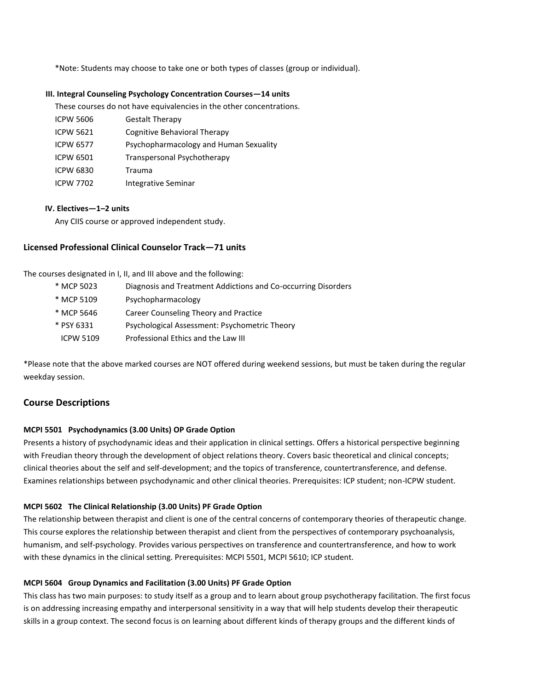\*Note: Students may choose to take one or both types of classes (group or individual).

#### **III. Integral Counseling Psychology Concentration Courses—14 units**

These courses do not have equivalencies in the other concentrations.

ICPW 5606 Gestalt Therapy ICPW 5621 Cognitive Behavioral Therapy ICPW 6577 Psychopharmacology and Human Sexuality ICPW 6501 Transpersonal Psychotherapy ICPW 6830 Trauma ICPW 7702 Integrative Seminar

#### **IV. Electives—1–2 units**

Any CIIS course or approved independent study.

#### **Licensed Professional Clinical Counselor Track—71 units**

The courses designated in I, II, and III above and the following:

- \* MCP 5023 Diagnosis and Treatment Addictions and Co-occurring Disorders
- \* MCP 5109 Psychopharmacology
- \* MCP 5646 Career Counseling Theory and Practice
- \* PSY 6331 Psychological Assessment: Psychometric Theory
- ICPW 5109 Professional Ethics and the Law III

\*Please note that the above marked courses are NOT offered during weekend sessions, but must be taken during the regular weekday session.

## **Course Descriptions**

#### **MCPI 5501 Psychodynamics (3.00 Units) OP Grade Option**

Presents a history of psychodynamic ideas and their application in clinical settings. Offers a historical perspective beginning with Freudian theory through the development of object relations theory. Covers basic theoretical and clinical concepts; clinical theories about the self and self-development; and the topics of transference, countertransference, and defense. Examines relationships between psychodynamic and other clinical theories. Prerequisites: ICP student; non-ICPW student.

#### **MCPI 5602 The Clinical Relationship (3.00 Units) PF Grade Option**

The relationship between therapist and client is one of the central concerns of contemporary theories of therapeutic change. This course explores the relationship between therapist and client from the perspectives of contemporary psychoanalysis, humanism, and self-psychology. Provides various perspectives on transference and countertransference, and how to work with these dynamics in the clinical setting. Prerequisites: MCPI 5501, MCPI 5610; ICP student.

#### **MCPI 5604 Group Dynamics and Facilitation (3.00 Units) PF Grade Option**

This class has two main purposes: to study itself as a group and to learn about group psychotherapy facilitation. The first focus is on addressing increasing empathy and interpersonal sensitivity in a way that will help students develop their therapeutic skills in a group context. The second focus is on learning about different kinds of therapy groups and the different kinds of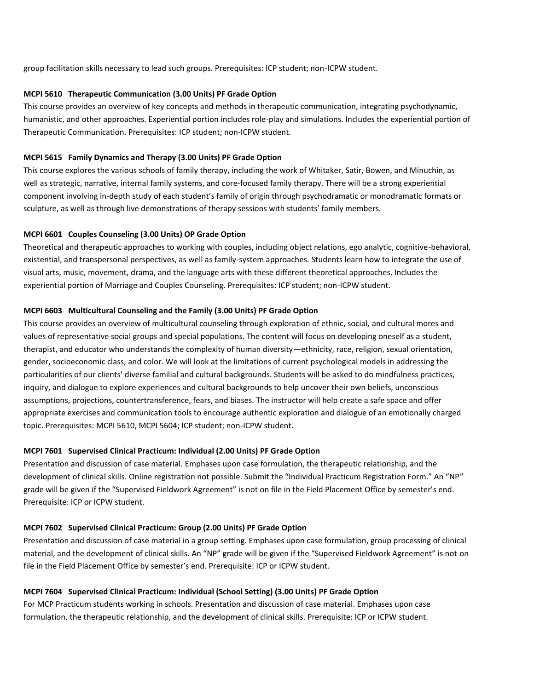group facilitation skills necessary to lead such groups. Prerequisites: ICP student; non-ICPW student.

#### **MCPI 5610 Therapeutic Communication (3.00 Units) PF Grade Option**

This course provides an overview of key concepts and methods in therapeutic communication, integrating psychodynamic, humanistic, and other approaches. Experiential portion includes role-play and simulations. Includes the experiential portion of Therapeutic Communication. Prerequisites: ICP student; non-ICPW student.

#### **MCPI 5615 Family Dynamics and Therapy (3.00 Units) PF Grade Option**

This course explores the various schools of family therapy, including the work of Whitaker, Satir, Bowen, and Minuchin, as well as strategic, narrative, internal family systems, and core-focused family therapy. There will be a strong experiential component involving in-depth study of each student's family of origin through psychodramatic or monodramatic formats or sculpture, as well as through live demonstrations of therapy sessions with students' family members.

#### **MCPI 6601 Couples Counseling (3.00 Units) OP Grade Option**

Theoretical and therapeutic approaches to working with couples, including object relations, ego analytic, cognitive-behavioral, existential, and transpersonal perspectives, as well as family-system approaches. Students learn how to integrate the use of visual arts, music, movement, drama, and the language arts with these different theoretical approaches. Includes the experiential portion of Marriage and Couples Counseling. Prerequisites: ICP student; non-ICPW student.

#### **MCPI 6603 Multicultural Counseling and the Family (3.00 Units) PF Grade Option**

This course provides an overview of multicultural counseling through exploration of ethnic, social, and cultural mores and values of representative social groups and special populations. The content will focus on developing oneself as a student, therapist, and educator who understands the complexity of human diversity—ethnicity, race, religion, sexual orientation, gender, socioeconomic class, and color. We will look at the limitations of current psychological models in addressing the particularities of our clients' diverse familial and cultural backgrounds. Students will be asked to do mindfulness practices, inquiry, and dialogue to explore experiences and cultural backgrounds to help uncover their own beliefs, unconscious assumptions, projections, countertransference, fears, and biases. The instructor will help create a safe space and offer appropriate exercises and communication tools to encourage authentic exploration and dialogue of an emotionally charged topic. Prerequisites: MCPI 5610, MCPI 5604; ICP student; non-ICPW student.

#### **MCPI 7601 Supervised Clinical Practicum: Individual (2.00 Units) PF Grade Option**

Presentation and discussion of case material. Emphases upon case formulation, the therapeutic relationship, and the development of clinical skills. Online registration not possible. Submit the "Individual Practicum Registration Form." An "NP" grade will be given if the "Supervised Fieldwork Agreement" is not on file in the Field Placement Office by semester's end. Prerequisite: ICP or ICPW student.

#### **MCPI 7602 Supervised Clinical Practicum: Group (2.00 Units) PF Grade Option**

Presentation and discussion of case material in a group setting. Emphases upon case formulation, group processing of clinical material, and the development of clinical skills. An "NP" grade will be given if the "Supervised Fieldwork Agreement" is not on file in the Field Placement Office by semester's end. Prerequisite: ICP or ICPW student.

#### **MCPI 7604 Supervised Clinical Practicum: Individual (School Setting) (3.00 Units) PF Grade Option**

For MCP Practicum students working in schools. Presentation and discussion of case material. Emphases upon case formulation, the therapeutic relationship, and the development of clinical skills. Prerequisite: ICP or ICPW student.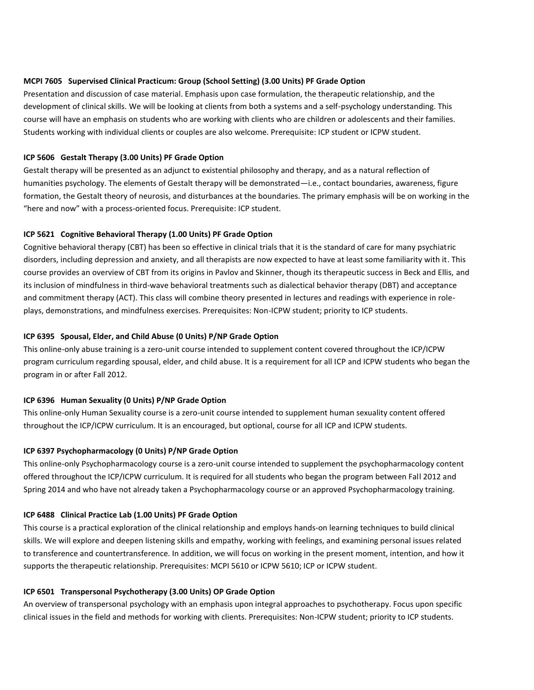#### **MCPI 7605 Supervised Clinical Practicum: Group (School Setting) (3.00 Units) PF Grade Option**

Presentation and discussion of case material. Emphasis upon case formulation, the therapeutic relationship, and the development of clinical skills. We will be looking at clients from both a systems and a self-psychology understanding. This course will have an emphasis on students who are working with clients who are children or adolescents and their families. Students working with individual clients or couples are also welcome. Prerequisite: ICP student or ICPW student.

#### **ICP 5606 Gestalt Therapy (3.00 Units) PF Grade Option**

Gestalt therapy will be presented as an adjunct to existential philosophy and therapy, and as a natural reflection of humanities psychology. The elements of Gestalt therapy will be demonstrated—i.e., contact boundaries, awareness, figure formation, the Gestalt theory of neurosis, and disturbances at the boundaries. The primary emphasis will be on working in the "here and now" with a process-oriented focus. Prerequisite: ICP student.

#### **ICP 5621 Cognitive Behavioral Therapy (1.00 Units) PF Grade Option**

Cognitive behavioral therapy (CBT) has been so effective in clinical trials that it is the standard of care for many psychiatric disorders, including depression and anxiety, and all therapists are now expected to have at least some familiarity with it. This course provides an overview of CBT from its origins in Pavlov and Skinner, though its therapeutic success in Beck and Ellis, and its inclusion of mindfulness in third-wave behavioral treatments such as dialectical behavior therapy (DBT) and acceptance and commitment therapy (ACT). This class will combine theory presented in lectures and readings with experience in roleplays, demonstrations, and mindfulness exercises. Prerequisites: Non-ICPW student; priority to ICP students.

#### **ICP 6395 Spousal, Elder, and Child Abuse (0 Units) P/NP Grade Option**

This online-only abuse training is a zero-unit course intended to supplement content covered throughout the ICP/ICPW program curriculum regarding spousal, elder, and child abuse. It is a requirement for all ICP and ICPW students who began the program in or after Fall 2012.

#### **ICP 6396 Human Sexuality (0 Units) P/NP Grade Option**

This online-only Human Sexuality course is a zero-unit course intended to supplement human sexuality content offered throughout the ICP/ICPW curriculum. It is an encouraged, but optional, course for all ICP and ICPW students.

#### **ICP 6397 Psychopharmacology (0 Units) P/NP Grade Option**

This online-only Psychopharmacology course is a zero-unit course intended to supplement the psychopharmacology content offered throughout the ICP/ICPW curriculum. It is required for all students who began the program between Fall 2012 and Spring 2014 and who have not already taken a Psychopharmacology course or an approved Psychopharmacology training.

#### **ICP 6488 Clinical Practice Lab (1.00 Units) PF Grade Option**

This course is a practical exploration of the clinical relationship and employs hands-on learning techniques to build clinical skills. We will explore and deepen listening skills and empathy, working with feelings, and examining personal issues related to transference and countertransference. In addition, we will focus on working in the present moment, intention, and how it supports the therapeutic relationship. Prerequisites: MCPI 5610 or ICPW 5610; ICP or ICPW student.

#### **ICP 6501 Transpersonal Psychotherapy (3.00 Units) OP Grade Option**

An overview of transpersonal psychology with an emphasis upon integral approaches to psychotherapy. Focus upon specific clinical issues in the field and methods for working with clients. Prerequisites: Non-ICPW student; priority to ICP students.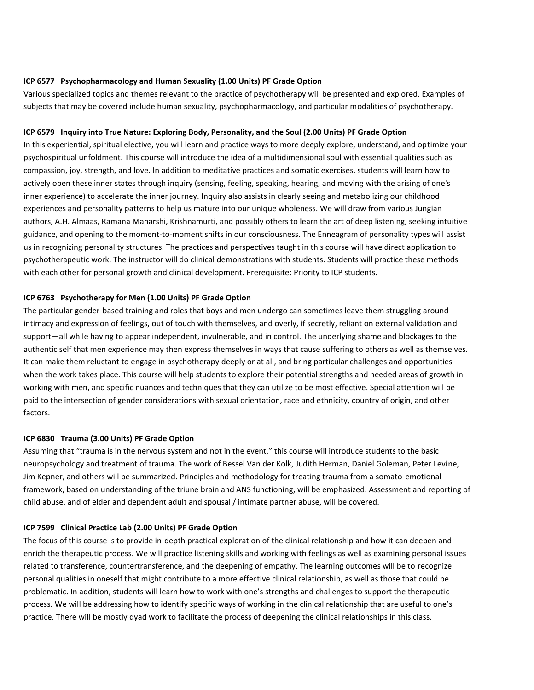#### **ICP 6577 Psychopharmacology and Human Sexuality (1.00 Units) PF Grade Option**

Various specialized topics and themes relevant to the practice of psychotherapy will be presented and explored. Examples of subjects that may be covered include human sexuality, psychopharmacology, and particular modalities of psychotherapy.

#### **ICP 6579 Inquiry into True Nature: Exploring Body, Personality, and the Soul (2.00 Units) PF Grade Option**

In this experiential, spiritual elective, you will learn and practice ways to more deeply explore, understand, and optimize your psychospiritual unfoldment. This course will introduce the idea of a multidimensional soul with essential qualities such as compassion, joy, strength, and love. In addition to meditative practices and somatic exercises, students will learn how to actively open these inner states through inquiry (sensing, feeling, speaking, hearing, and moving with the arising of one's inner experience) to accelerate the inner journey. Inquiry also assists in clearly seeing and metabolizing our childhood experiences and personality patterns to help us mature into our unique wholeness. We will draw from various Jungian authors, A.H. Almaas, Ramana Maharshi, Krishnamurti, and possibly others to learn the art of deep listening, seeking intuitive guidance, and opening to the moment-to-moment shifts in our consciousness. The Enneagram of personality types will assist us in recognizing personality structures. The practices and perspectives taught in this course will have direct application to psychotherapeutic work. The instructor will do clinical demonstrations with students. Students will practice these methods with each other for personal growth and clinical development. Prerequisite: Priority to ICP students.

#### **ICP 6763 Psychotherapy for Men (1.00 Units) PF Grade Option**

The particular gender-based training and roles that boys and men undergo can sometimes leave them struggling around intimacy and expression of feelings, out of touch with themselves, and overly, if secretly, reliant on external validation and support—all while having to appear independent, invulnerable, and in control. The underlying shame and blockages to the authentic self that men experience may then express themselves in ways that cause suffering to others as well as themselves. It can make them reluctant to engage in psychotherapy deeply or at all, and bring particular challenges and opportunities when the work takes place. This course will help students to explore their potential strengths and needed areas of growth in working with men, and specific nuances and techniques that they can utilize to be most effective. Special attention will be paid to the intersection of gender considerations with sexual orientation, race and ethnicity, country of origin, and other factors.

#### **ICP 6830 Trauma (3.00 Units) PF Grade Option**

Assuming that "trauma is in the nervous system and not in the event," this course will introduce students to the basic neuropsychology and treatment of trauma. The work of Bessel Van der Kolk, Judith Herman, Daniel Goleman, Peter Levine, Jim Kepner, and others will be summarized. Principles and methodology for treating trauma from a somato-emotional framework, based on understanding of the triune brain and ANS functioning, will be emphasized. Assessment and reporting of child abuse, and of elder and dependent adult and spousal / intimate partner abuse, will be covered.

#### **ICP 7599 Clinical Practice Lab (2.00 Units) PF Grade Option**

The focus of this course is to provide in-depth practical exploration of the clinical relationship and how it can deepen and enrich the therapeutic process. We will practice listening skills and working with feelings as well as examining personal issues related to transference, countertransference, and the deepening of empathy. The learning outcomes will be to recognize personal qualities in oneself that might contribute to a more effective clinical relationship, as well as those that could be problematic. In addition, students will learn how to work with one's strengths and challenges to support the therapeutic process. We will be addressing how to identify specific ways of working in the clinical relationship that are useful to one's practice. There will be mostly dyad work to facilitate the process of deepening the clinical relationships in this class.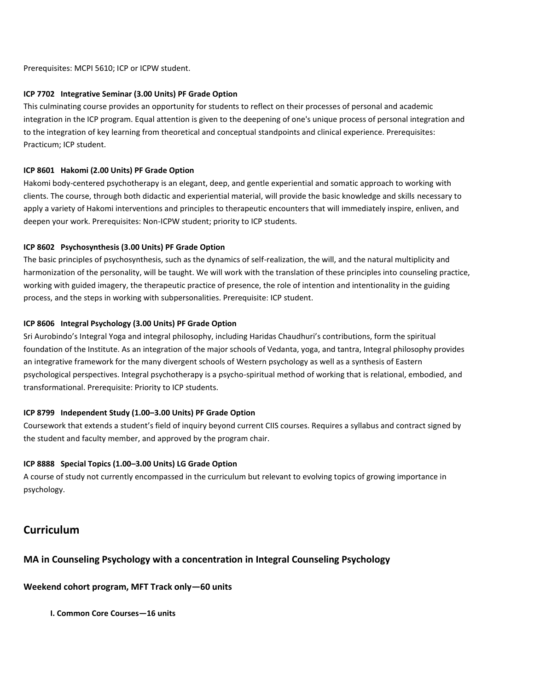Prerequisites: MCPI 5610; ICP or ICPW student.

#### **ICP 7702 Integrative Seminar (3.00 Units) PF Grade Option**

This culminating course provides an opportunity for students to reflect on their processes of personal and academic integration in the ICP program. Equal attention is given to the deepening of one's unique process of personal integration and to the integration of key learning from theoretical and conceptual standpoints and clinical experience. Prerequisites: Practicum; ICP student.

#### **ICP 8601 Hakomi (2.00 Units) PF Grade Option**

Hakomi body-centered psychotherapy is an elegant, deep, and gentle experiential and somatic approach to working with clients. The course, through both didactic and experiential material, will provide the basic knowledge and skills necessary to apply a variety of Hakomi interventions and principles to therapeutic encounters that will immediately inspire, enliven, and deepen your work. Prerequisites: Non-ICPW student; priority to ICP students.

#### **ICP 8602 Psychosynthesis (3.00 Units) PF Grade Option**

The basic principles of psychosynthesis, such as the dynamics of self-realization, the will, and the natural multiplicity and harmonization of the personality, will be taught. We will work with the translation of these principles into counseling practice, working with guided imagery, the therapeutic practice of presence, the role of intention and intentionality in the guiding process, and the steps in working with subpersonalities. Prerequisite: ICP student.

#### **ICP 8606 Integral Psychology (3.00 Units) PF Grade Option**

Sri Aurobindo's Integral Yoga and integral philosophy, including Haridas Chaudhuri's contributions, form the spiritual foundation of the Institute. As an integration of the major schools of Vedanta, yoga, and tantra, Integral philosophy provides an integrative framework for the many divergent schools of Western psychology as well as a synthesis of Eastern psychological perspectives. Integral psychotherapy is a psycho-spiritual method of working that is relational, embodied, and transformational. Prerequisite: Priority to ICP students.

#### **ICP 8799 Independent Study (1.00–3.00 Units) PF Grade Option**

Coursework that extends a student's field of inquiry beyond current CIIS courses. Requires a syllabus and contract signed by the student and faculty member, and approved by the program chair.

#### **ICP 8888 Special Topics (1.00–3.00 Units) LG Grade Option**

A course of study not currently encompassed in the curriculum but relevant to evolving topics of growing importance in psychology.

## **Curriculum**

## **MA in Counseling Psychology with a concentration in Integral Counseling Psychology**

## **Weekend cohort program, MFT Track only—60 units**

**I. Common Core Courses—16 units**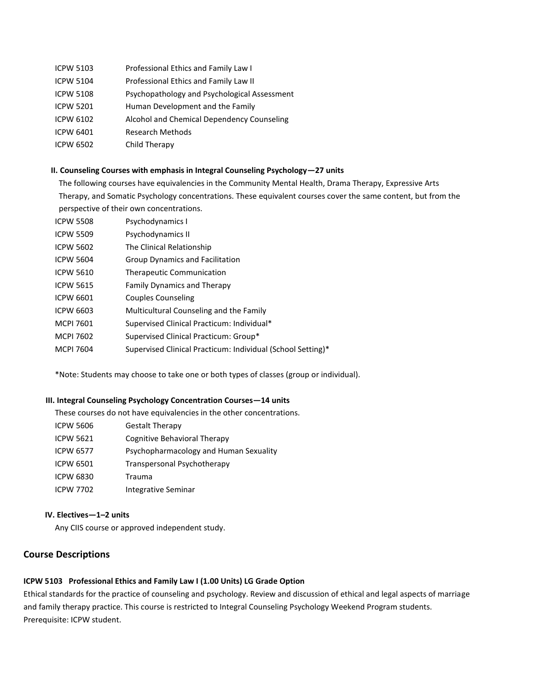- ICPW 5103 Professional Ethics and Family Law I
- ICPW 5104 Professional Ethics and Family Law II
- ICPW 5108 Psychopathology and Psychological Assessment
- ICPW 5201 Human Development and the Family
- ICPW 6102 Alcohol and Chemical Dependency Counseling
- ICPW 6401 Research Methods
- ICPW 6502 Child Therapy

#### **II. Counseling Courses with emphasis in Integral Counseling Psychology—27 units**

The following courses have equivalencies in the Community Mental Health, Drama Therapy, Expressive Arts Therapy, and Somatic Psychology concentrations. These equivalent courses cover the same content, but from the perspective of their own concentrations.

| <b>ICPW 5508</b> | Psychodynamics I                           |
|------------------|--------------------------------------------|
| <b>ICPW 5509</b> | Psychodynamics II                          |
| <b>ICPW 5602</b> | The Clinical Relationship                  |
| <b>ICPW 5604</b> | Group Dynamics and Facilitation            |
| <b>ICPW 5610</b> | Therapeutic Communication                  |
| <b>ICPW 5615</b> | <b>Family Dynamics and Therapy</b>         |
| ICPW 6601        | Couples Counseling                         |
| ICPW 6603        | Multicultural Counseling and the Family    |
| MCPI 7601        | Supervised Clinical Practicum: Individual* |
| <b>MCPI 7602</b> | Supervised Clinical Practicum: Group*      |
|                  |                                            |

MCPI 7604 Supervised Clinical Practicum: Individual (School Setting)\*

\*Note: Students may choose to take one or both types of classes (group or individual).

#### **III. Integral Counseling Psychology Concentration Courses—14 units**

These courses do not have equivalencies in the other concentrations.

ICPW 5606 Gestalt Therapy ICPW 5621 Cognitive Behavioral Therapy ICPW 6577 Psychopharmacology and Human Sexuality ICPW 6501 Transpersonal Psychotherapy ICPW 6830 Trauma ICPW 7702 Integrative Seminar

#### **IV. Electives—1–2 units**

Any CIIS course or approved independent study.

## **Course Descriptions**

#### **ICPW 5103 Professional Ethics and Family Law I (1.00 Units) LG Grade Option**

Ethical standards for the practice of counseling and psychology. Review and discussion of ethical and legal aspects of marriage and family therapy practice. This course is restricted to Integral Counseling Psychology Weekend Program students. Prerequisite: ICPW student.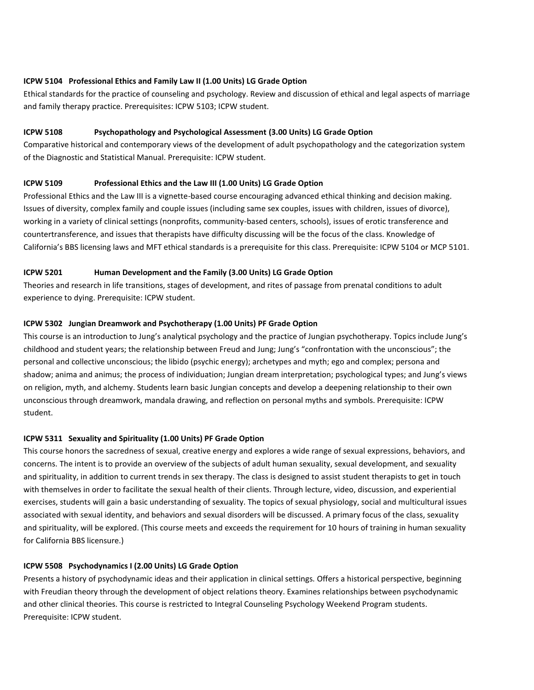#### **ICPW 5104 Professional Ethics and Family Law II (1.00 Units) LG Grade Option**

Ethical standards for the practice of counseling and psychology. Review and discussion of ethical and legal aspects of marriage and family therapy practice. Prerequisites: ICPW 5103; ICPW student.

#### **ICPW 5108 Psychopathology and Psychological Assessment (3.00 Units) LG Grade Option**

Comparative historical and contemporary views of the development of adult psychopathology and the categorization system of the Diagnostic and Statistical Manual. Prerequisite: ICPW student.

#### **ICPW 5109 Professional Ethics and the Law III (1.00 Units) LG Grade Option**

Professional Ethics and the Law III is a vignette-based course encouraging advanced ethical thinking and decision making. Issues of diversity, complex family and couple issues (including same sex couples, issues with children, issues of divorce), working in a variety of clinical settings (nonprofits, community-based centers, schools), issues of erotic transference and countertransference, and issues that therapists have difficulty discussing will be the focus of the class. Knowledge of California's BBS licensing laws and MFT ethical standards is a prerequisite for this class. Prerequisite: ICPW 5104 or MCP 5101.

#### **ICPW 5201 Human Development and the Family (3.00 Units) LG Grade Option**

Theories and research in life transitions, stages of development, and rites of passage from prenatal conditions to adult experience to dying. Prerequisite: ICPW student.

#### **ICPW 5302 Jungian Dreamwork and Psychotherapy (1.00 Units) PF Grade Option**

This course is an introduction to Jung's analytical psychology and the practice of Jungian psychotherapy. Topics include Jung's childhood and student years; the relationship between Freud and Jung; Jung's "confrontation with the unconscious"; the personal and collective unconscious; the libido (psychic energy); archetypes and myth; ego and complex; persona and shadow; anima and animus; the process of individuation; Jungian dream interpretation; psychological types; and Jung's views on religion, myth, and alchemy. Students learn basic Jungian concepts and develop a deepening relationship to their own unconscious through dreamwork, mandala drawing, and reflection on personal myths and symbols. Prerequisite: ICPW student.

#### **ICPW 5311 Sexuality and Spirituality (1.00 Units) PF Grade Option**

This course honors the sacredness of sexual, creative energy and explores a wide range of sexual expressions, behaviors, and concerns. The intent is to provide an overview of the subjects of adult human sexuality, sexual development, and sexuality and spirituality, in addition to current trends in sex therapy. The class is designed to assist student therapists to get in touch with themselves in order to facilitate the sexual health of their clients. Through lecture, video, discussion, and experiential exercises, students will gain a basic understanding of sexuality. The topics of sexual physiology, social and multicultural issues associated with sexual identity, and behaviors and sexual disorders will be discussed. A primary focus of the class, sexuality and spirituality, will be explored. (This course meets and exceeds the requirement for 10 hours of training in human sexuality for California BBS licensure.)

#### **ICPW 5508 Psychodynamics I (2.00 Units) LG Grade Option**

Presents a history of psychodynamic ideas and their application in clinical settings. Offers a historical perspective, beginning with Freudian theory through the development of object relations theory. Examines relationships between psychodynamic and other clinical theories. This course is restricted to Integral Counseling Psychology Weekend Program students. Prerequisite: ICPW student.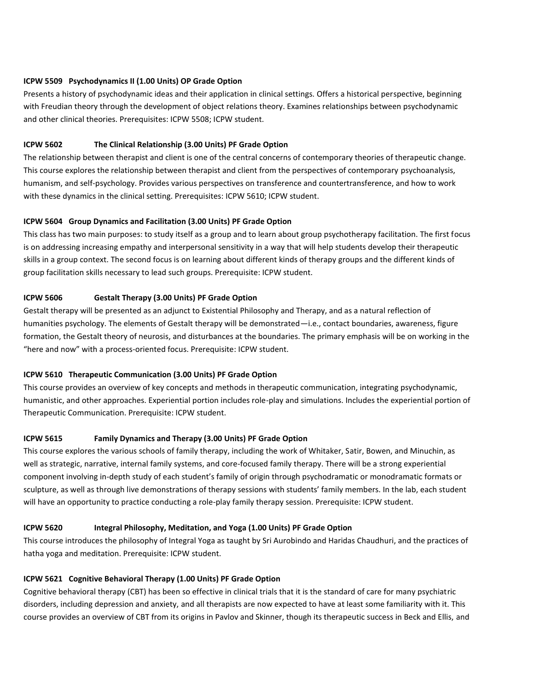#### **ICPW 5509 Psychodynamics II (1.00 Units) OP Grade Option**

Presents a history of psychodynamic ideas and their application in clinical settings. Offers a historical perspective, beginning with Freudian theory through the development of object relations theory. Examines relationships between psychodynamic and other clinical theories. Prerequisites: ICPW 5508; ICPW student.

#### **ICPW 5602 The Clinical Relationship (3.00 Units) PF Grade Option**

The relationship between therapist and client is one of the central concerns of contemporary theories of therapeutic change. This course explores the relationship between therapist and client from the perspectives of contemporary psychoanalysis, humanism, and self-psychology. Provides various perspectives on transference and countertransference, and how to work with these dynamics in the clinical setting. Prerequisites: ICPW 5610; ICPW student.

#### **ICPW 5604 Group Dynamics and Facilitation (3.00 Units) PF Grade Option**

This class has two main purposes: to study itself as a group and to learn about group psychotherapy facilitation. The first focus is on addressing increasing empathy and interpersonal sensitivity in a way that will help students develop their therapeutic skills in a group context. The second focus is on learning about different kinds of therapy groups and the different kinds of group facilitation skills necessary to lead such groups. Prerequisite: ICPW student.

#### **ICPW 5606 Gestalt Therapy (3.00 Units) PF Grade Option**

Gestalt therapy will be presented as an adjunct to Existential Philosophy and Therapy, and as a natural reflection of humanities psychology. The elements of Gestalt therapy will be demonstrated—i.e., contact boundaries, awareness, figure formation, the Gestalt theory of neurosis, and disturbances at the boundaries. The primary emphasis will be on working in the "here and now" with a process-oriented focus. Prerequisite: ICPW student.

#### **ICPW 5610 Therapeutic Communication (3.00 Units) PF Grade Option**

This course provides an overview of key concepts and methods in therapeutic communication, integrating psychodynamic, humanistic, and other approaches. Experiential portion includes role-play and simulations. Includes the experiential portion of Therapeutic Communication. Prerequisite: ICPW student.

#### **ICPW 5615 Family Dynamics and Therapy (3.00 Units) PF Grade Option**

This course explores the various schools of family therapy, including the work of Whitaker, Satir, Bowen, and Minuchin, as well as strategic, narrative, internal family systems, and core-focused family therapy. There will be a strong experiential component involving in-depth study of each student's family of origin through psychodramatic or monodramatic formats or sculpture, as well as through live demonstrations of therapy sessions with students' family members. In the lab, each student will have an opportunity to practice conducting a role-play family therapy session. Prerequisite: ICPW student.

#### **ICPW 5620 Integral Philosophy, Meditation, and Yoga (1.00 Units) PF Grade Option**

This course introduces the philosophy of Integral Yoga as taught by Sri Aurobindo and Haridas Chaudhuri, and the practices of hatha yoga and meditation. Prerequisite: ICPW student.

#### **ICPW 5621 Cognitive Behavioral Therapy (1.00 Units) PF Grade Option**

Cognitive behavioral therapy (CBT) has been so effective in clinical trials that it is the standard of care for many psychiatric disorders, including depression and anxiety, and all therapists are now expected to have at least some familiarity with it. This course provides an overview of CBT from its origins in Pavlov and Skinner, though its therapeutic success in Beck and Ellis, and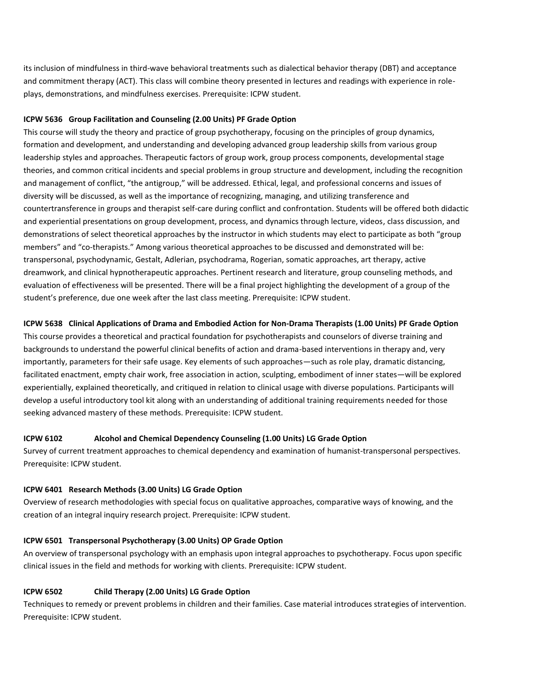its inclusion of mindfulness in third-wave behavioral treatments such as dialectical behavior therapy (DBT) and acceptance and commitment therapy (ACT). This class will combine theory presented in lectures and readings with experience in roleplays, demonstrations, and mindfulness exercises. Prerequisite: ICPW student.

#### **ICPW 5636 Group Facilitation and Counseling (2.00 Units) PF Grade Option**

This course will study the theory and practice of group psychotherapy, focusing on the principles of group dynamics, formation and development, and understanding and developing advanced group leadership skills from various group leadership styles and approaches. Therapeutic factors of group work, group process components, developmental stage theories, and common critical incidents and special problems in group structure and development, including the recognition and management of conflict, "the antigroup," will be addressed. Ethical, legal, and professional concerns and issues of diversity will be discussed, as well as the importance of recognizing, managing, and utilizing transference and countertransference in groups and therapist self-care during conflict and confrontation. Students will be offered both didactic and experiential presentations on group development, process, and dynamics through lecture, videos, class discussion, and demonstrations of select theoretical approaches by the instructor in which students may elect to participate as both "group members" and "co-therapists." Among various theoretical approaches to be discussed and demonstrated will be: transpersonal, psychodynamic, Gestalt, Adlerian, psychodrama, Rogerian, somatic approaches, art therapy, active dreamwork, and clinical hypnotherapeutic approaches. Pertinent research and literature, group counseling methods, and evaluation of effectiveness will be presented. There will be a final project highlighting the development of a group of the student's preference, due one week after the last class meeting. Prerequisite: ICPW student.

#### **ICPW 5638 Clinical Applications of Drama and Embodied Action for Non-Drama Therapists (1.00 Units) PF Grade Option**

This course provides a theoretical and practical foundation for psychotherapists and counselors of diverse training and backgrounds to understand the powerful clinical benefits of action and drama-based interventions in therapy and, very importantly, parameters for their safe usage. Key elements of such approaches—such as role play, dramatic distancing, facilitated enactment, empty chair work, free association in action, sculpting, embodiment of inner states—will be explored experientially, explained theoretically, and critiqued in relation to clinical usage with diverse populations. Participants will develop a useful introductory tool kit along with an understanding of additional training requirements needed for those seeking advanced mastery of these methods. Prerequisite: ICPW student.

#### **ICPW 6102 Alcohol and Chemical Dependency Counseling (1.00 Units) LG Grade Option**

Survey of current treatment approaches to chemical dependency and examination of humanist-transpersonal perspectives. Prerequisite: ICPW student.

#### **ICPW 6401 Research Methods (3.00 Units) LG Grade Option**

Overview of research methodologies with special focus on qualitative approaches, comparative ways of knowing, and the creation of an integral inquiry research project. Prerequisite: ICPW student.

#### **ICPW 6501 Transpersonal Psychotherapy (3.00 Units) OP Grade Option**

An overview of transpersonal psychology with an emphasis upon integral approaches to psychotherapy. Focus upon specific clinical issues in the field and methods for working with clients. Prerequisite: ICPW student.

#### **ICPW 6502 Child Therapy (2.00 Units) LG Grade Option**

Techniques to remedy or prevent problems in children and their families. Case material introduces strategies of intervention. Prerequisite: ICPW student.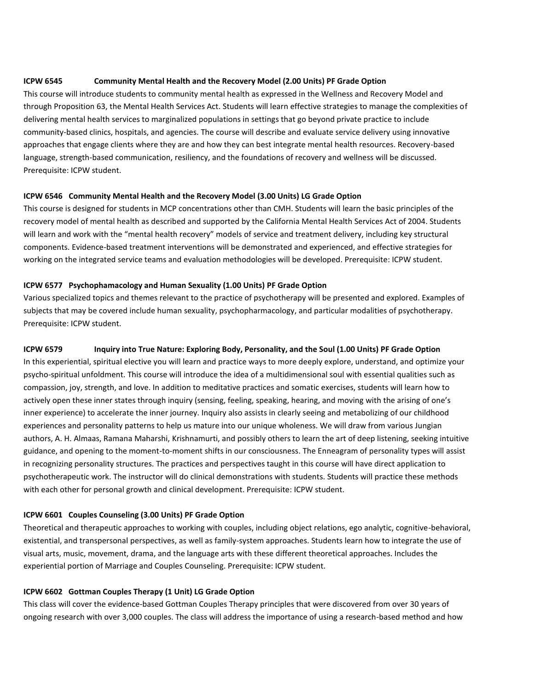#### **ICPW 6545 Community Mental Health and the Recovery Model (2.00 Units) PF Grade Option**

This course will introduce students to community mental health as expressed in the Wellness and Recovery Model and through Proposition 63, the Mental Health Services Act. Students will learn effective strategies to manage the complexities of delivering mental health services to marginalized populations in settings that go beyond private practice to include community-based clinics, hospitals, and agencies. The course will describe and evaluate service delivery using innovative approaches that engage clients where they are and how they can best integrate mental health resources. Recovery-based language, strength-based communication, resiliency, and the foundations of recovery and wellness will be discussed. Prerequisite: ICPW student.

#### **ICPW 6546 Community Mental Health and the Recovery Model (3.00 Units) LG Grade Option**

This course is designed for students in MCP concentrations other than CMH. Students will learn the basic principles of the recovery model of mental health as described and supported by the California Mental Health Services Act of 2004. Students will learn and work with the "mental health recovery" models of service and treatment delivery, including key structural components. Evidence-based treatment interventions will be demonstrated and experienced, and effective strategies for working on the integrated service teams and evaluation methodologies will be developed. Prerequisite: ICPW student.

#### **ICPW 6577 Psychophamacology and Human Sexuality (1.00 Units) PF Grade Option**

Various specialized topics and themes relevant to the practice of psychotherapy will be presented and explored. Examples of subjects that may be covered include human sexuality, psychopharmacology, and particular modalities of psychotherapy. Prerequisite: ICPW student.

#### **ICPW 6579 Inquiry into True Nature: Exploring Body, Personality, and the Soul (1.00 Units) PF Grade Option**

In this experiential, spiritual elective you will learn and practice ways to more deeply explore, understand, and optimize your psycho-spiritual unfoldment. This course will introduce the idea of a multidimensional soul with essential qualities such as compassion, joy, strength, and love. In addition to meditative practices and somatic exercises, students will learn how to actively open these inner states through inquiry (sensing, feeling, speaking, hearing, and moving with the arising of one's inner experience) to accelerate the inner journey. Inquiry also assists in clearly seeing and metabolizing of our childhood experiences and personality patterns to help us mature into our unique wholeness. We will draw from various Jungian authors, A. H. Almaas, Ramana Maharshi, Krishnamurti, and possibly others to learn the art of deep listening, seeking intuitive guidance, and opening to the moment-to-moment shifts in our consciousness. The Enneagram of personality types will assist in recognizing personality structures. The practices and perspectives taught in this course will have direct application to psychotherapeutic work. The instructor will do clinical demonstrations with students. Students will practice these methods with each other for personal growth and clinical development. Prerequisite: ICPW student.

#### **ICPW 6601 Couples Counseling (3.00 Units) PF Grade Option**

Theoretical and therapeutic approaches to working with couples, including object relations, ego analytic, cognitive-behavioral, existential, and transpersonal perspectives, as well as family-system approaches. Students learn how to integrate the use of visual arts, music, movement, drama, and the language arts with these different theoretical approaches. Includes the experiential portion of Marriage and Couples Counseling. Prerequisite: ICPW student.

#### **ICPW 6602 Gottman Couples Therapy (1 Unit) LG Grade Option**

This class will cover the evidence-based Gottman Couples Therapy principles that were discovered from over 30 years of ongoing research with over 3,000 couples. The class will address the importance of using a research-based method and how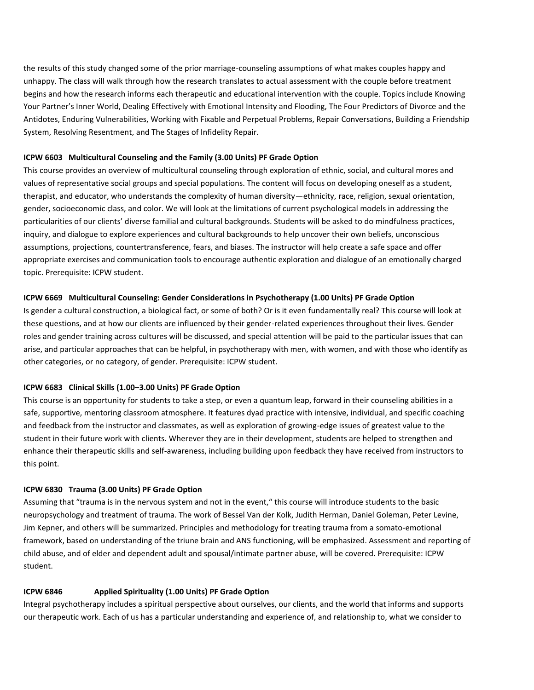the results of this study changed some of the prior marriage-counseling assumptions of what makes couples happy and unhappy. The class will walk through how the research translates to actual assessment with the couple before treatment begins and how the research informs each therapeutic and educational intervention with the couple. Topics include Knowing Your Partner's Inner World, Dealing Effectively with Emotional Intensity and Flooding, The Four Predictors of Divorce and the Antidotes, Enduring Vulnerabilities, Working with Fixable and Perpetual Problems, Repair Conversations, Building a Friendship System, Resolving Resentment, and The Stages of Infidelity Repair.

#### **ICPW 6603 Multicultural Counseling and the Family (3.00 Units) PF Grade Option**

This course provides an overview of multicultural counseling through exploration of ethnic, social, and cultural mores and values of representative social groups and special populations. The content will focus on developing oneself as a student, therapist, and educator, who understands the complexity of human diversity—ethnicity, race, religion, sexual orientation, gender, socioeconomic class, and color. We will look at the limitations of current psychological models in addressing the particularities of our clients' diverse familial and cultural backgrounds. Students will be asked to do mindfulness practices, inquiry, and dialogue to explore experiences and cultural backgrounds to help uncover their own beliefs, unconscious assumptions, projections, countertransference, fears, and biases. The instructor will help create a safe space and offer appropriate exercises and communication tools to encourage authentic exploration and dialogue of an emotionally charged topic. Prerequisite: ICPW student.

#### **ICPW 6669 Multicultural Counseling: Gender Considerations in Psychotherapy (1.00 Units) PF Grade Option**

Is gender a cultural construction, a biological fact, or some of both? Or is it even fundamentally real? This course will look at these questions, and at how our clients are influenced by their gender-related experiences throughout their lives. Gender roles and gender training across cultures will be discussed, and special attention will be paid to the particular issues that can arise, and particular approaches that can be helpful, in psychotherapy with men, with women, and with those who identify as other categories, or no category, of gender. Prerequisite: ICPW student.

#### **ICPW 6683 Clinical Skills (1.00–3.00 Units) PF Grade Option**

This course is an opportunity for students to take a step, or even a quantum leap, forward in their counseling abilities in a safe, supportive, mentoring classroom atmosphere. It features dyad practice with intensive, individual, and specific coaching and feedback from the instructor and classmates, as well as exploration of growing-edge issues of greatest value to the student in their future work with clients. Wherever they are in their development, students are helped to strengthen and enhance their therapeutic skills and self-awareness, including building upon feedback they have received from instructors to this point.

#### **ICPW 6830 Trauma (3.00 Units) PF Grade Option**

Assuming that "trauma is in the nervous system and not in the event," this course will introduce students to the basic neuropsychology and treatment of trauma. The work of Bessel Van der Kolk, Judith Herman, Daniel Goleman, Peter Levine, Jim Kepner, and others will be summarized. Principles and methodology for treating trauma from a somato-emotional framework, based on understanding of the triune brain and ANS functioning, will be emphasized. Assessment and reporting of child abuse, and of elder and dependent adult and spousal/intimate partner abuse, will be covered. Prerequisite: ICPW student.

#### **ICPW 6846 Applied Spirituality (1.00 Units) PF Grade Option**

Integral psychotherapy includes a spiritual perspective about ourselves, our clients, and the world that informs and supports our therapeutic work. Each of us has a particular understanding and experience of, and relationship to, what we consider to